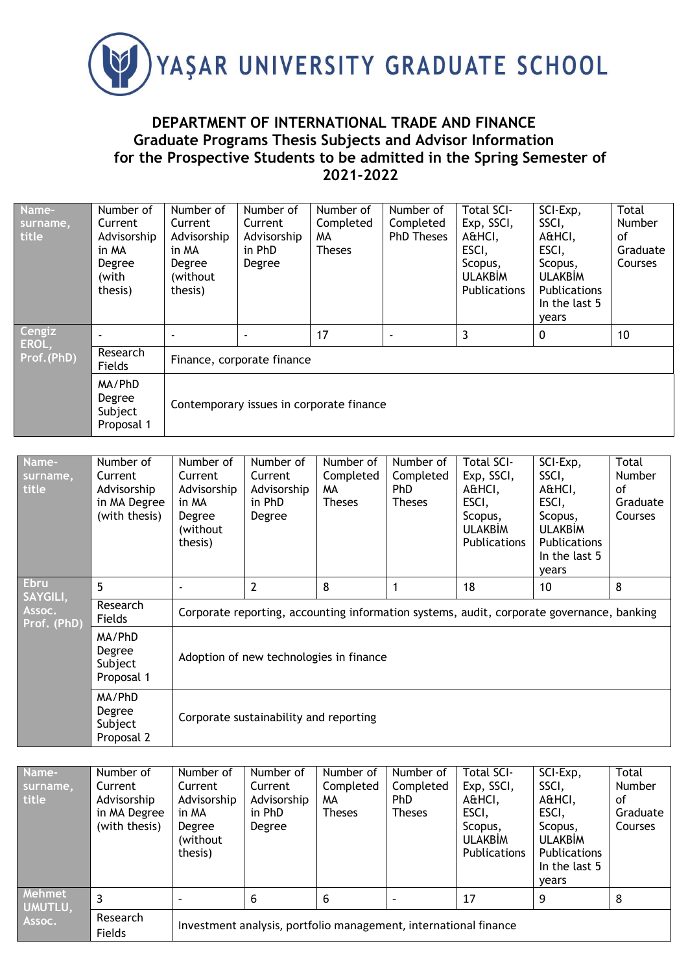

## **DEPARTMENT OF INTERNATIONAL TRADE AND FINANCE Graduate Programs Thesis Subjects and Advisor Information for the Prospective Students to be admitted in the Spring Semester of 2021-2022**

| Name-<br>surname,<br>title    | Number of<br>Current<br>Advisorship<br>in MA<br>Degree<br>(with<br>thesis) | Number of<br>Current<br>Advisorship<br>in MA<br>Degree<br>(without)<br>thesis) | Number of<br>Current<br>Advisorship<br>in PhD<br>Degree | Number of<br>Completed<br>MΑ<br><b>Theses</b> | Number of<br>Completed<br><b>PhD Theses</b> | <b>Total SCI-</b><br>Exp, SSCI,<br>A&HCI,<br>ESCI,<br>Scopus,<br><b>ULAKBIM</b><br>Publications | SCI-Exp,<br>SSCI,<br>A&HCI,<br>ESCI,<br>Scopus,<br><b>ULAKBİM</b><br><b>Publications</b><br>In the last 5<br>vears | <b>Total</b><br>Number<br>0f<br>Graduate<br>Courses |  |
|-------------------------------|----------------------------------------------------------------------------|--------------------------------------------------------------------------------|---------------------------------------------------------|-----------------------------------------------|---------------------------------------------|-------------------------------------------------------------------------------------------------|--------------------------------------------------------------------------------------------------------------------|-----------------------------------------------------|--|
| Cengiz<br>EROL,<br>Prof.(PhD) |                                                                            |                                                                                |                                                         | 17                                            | $\overline{\phantom{a}}$                    | 3                                                                                               | $\mathbf 0$                                                                                                        | 10                                                  |  |
|                               | Research<br>Fields                                                         | Finance, corporate finance                                                     |                                                         |                                               |                                             |                                                                                                 |                                                                                                                    |                                                     |  |
|                               | MA/PhD<br>Degree<br>Subject<br>Proposal 1                                  | Contemporary issues in corporate finance                                       |                                                         |                                               |                                             |                                                                                                 |                                                                                                                    |                                                     |  |

| Name-<br>surname,<br>title                       | Number of<br>Current<br>Advisorship<br>in MA Degree<br>(with thesis) | Number of<br>Current<br>Advisorship<br>in MA<br>Degree<br>(without<br>thesis)             | Number of<br>Current<br>Advisorship<br>in PhD<br>Degree | Number of<br>Completed<br>MA.<br><b>Theses</b> | Number of<br>Completed<br><b>PhD</b><br><b>Theses</b> | <b>Total SCI-</b><br>Exp, SSCI,<br>A&HCI,<br>ESCI,<br>Scopus,<br><b>ULAKBİM</b><br><b>Publications</b> | SCI-Exp,<br>SSCI,<br>A&HCI,<br>ESCI,<br>Scopus,<br><b>ULAKBIM</b><br><b>Publications</b><br>In the last 5<br>years | Total<br><b>Number</b><br>οf<br>Graduate<br>Courses |  |  |
|--------------------------------------------------|----------------------------------------------------------------------|-------------------------------------------------------------------------------------------|---------------------------------------------------------|------------------------------------------------|-------------------------------------------------------|--------------------------------------------------------------------------------------------------------|--------------------------------------------------------------------------------------------------------------------|-----------------------------------------------------|--|--|
| <b>Ebru</b><br>SAYGILI,<br>Assoc.<br>Prof. (PhD) | 5                                                                    |                                                                                           | $\overline{2}$                                          | 8                                              |                                                       | 18                                                                                                     | 10                                                                                                                 | 8                                                   |  |  |
|                                                  | Research<br>Fields                                                   | Corporate reporting, accounting information systems, audit, corporate governance, banking |                                                         |                                                |                                                       |                                                                                                        |                                                                                                                    |                                                     |  |  |
|                                                  | MA/PhD<br>Degree<br>Subject<br>Proposal 1                            | Adoption of new technologies in finance                                                   |                                                         |                                                |                                                       |                                                                                                        |                                                                                                                    |                                                     |  |  |
|                                                  | MA/PhD<br>Degree<br>Subject<br>Proposal 2                            | Corporate sustainability and reporting                                                    |                                                         |                                                |                                                       |                                                                                                        |                                                                                                                    |                                                     |  |  |

| Name-<br>surname,<br>title  | Number of<br>Current<br>Advisorship<br>in MA Degree<br>(with thesis) | Number of<br>Current<br>Advisorship<br>in MA<br>Degree<br>(without<br>thesis) | Number of<br>Current<br>Advisorship<br>in PhD<br>Degree | Number of<br>Completed<br>MА<br><b>Theses</b> | Number of<br>Completed<br>PhD<br><b>Theses</b> | Total SCI-<br>Exp, SSCI,<br>A&HCI,<br>ESCI,<br>Scopus,<br><b>ULAKBIM</b><br><b>Publications</b> | SCI-Exp,<br>SSCI,<br>A&HCI,<br>ESCI,<br>Scopus,<br><b>ULAKBIM</b><br><b>Publications</b><br>In the last 5<br>vears | Total<br>Number<br>οf<br>Graduate<br>Courses |  |
|-----------------------------|----------------------------------------------------------------------|-------------------------------------------------------------------------------|---------------------------------------------------------|-----------------------------------------------|------------------------------------------------|-------------------------------------------------------------------------------------------------|--------------------------------------------------------------------------------------------------------------------|----------------------------------------------|--|
| Mehmet<br>UMUTLU,<br>Assoc. | 3                                                                    | $\overline{\phantom{0}}$                                                      | 6                                                       | 6                                             |                                                | 17                                                                                              | 9                                                                                                                  | 8                                            |  |
|                             | Research<br>Fields                                                   | Investment analysis, portfolio management, international finance              |                                                         |                                               |                                                |                                                                                                 |                                                                                                                    |                                              |  |